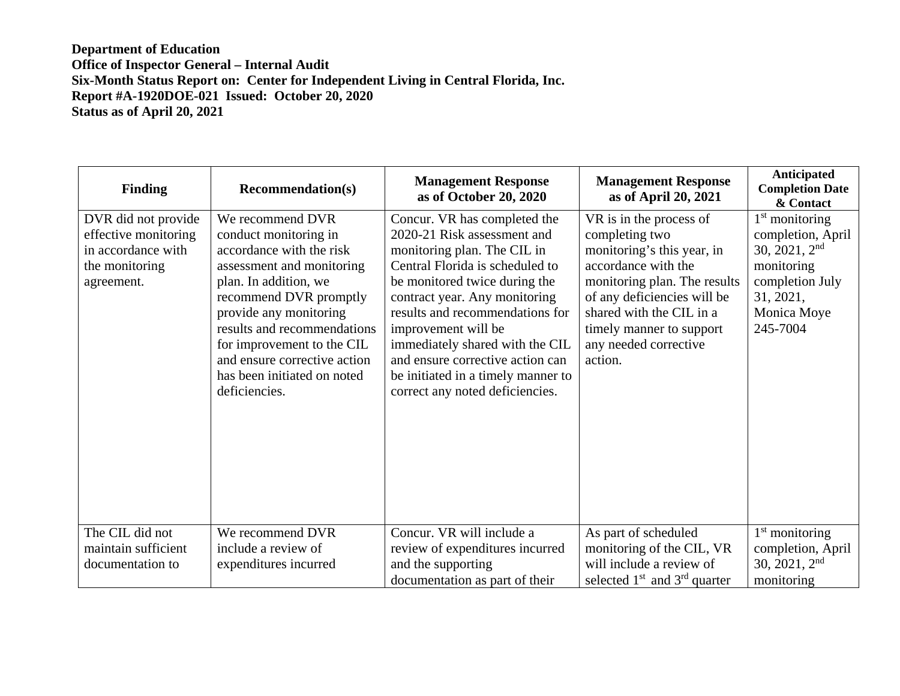| <b>Finding</b>                                                                                    | <b>Recommendation(s)</b>                                                                                                                                                                                                                                                                                                     | <b>Management Response</b><br>as of October 20, 2020                                                                                                                                                                                                                                                                                                                                                      | <b>Management Response</b><br>as of April 20, 2021                                                                                                                                                                                                        | Anticipated<br><b>Completion Date</b><br>& Contact                                                                                |
|---------------------------------------------------------------------------------------------------|------------------------------------------------------------------------------------------------------------------------------------------------------------------------------------------------------------------------------------------------------------------------------------------------------------------------------|-----------------------------------------------------------------------------------------------------------------------------------------------------------------------------------------------------------------------------------------------------------------------------------------------------------------------------------------------------------------------------------------------------------|-----------------------------------------------------------------------------------------------------------------------------------------------------------------------------------------------------------------------------------------------------------|-----------------------------------------------------------------------------------------------------------------------------------|
| DVR did not provide<br>effective monitoring<br>in accordance with<br>the monitoring<br>agreement. | We recommend DVR<br>conduct monitoring in<br>accordance with the risk<br>assessment and monitoring<br>plan. In addition, we<br>recommend DVR promptly<br>provide any monitoring<br>results and recommendations<br>for improvement to the CIL<br>and ensure corrective action<br>has been initiated on noted<br>deficiencies. | Concur. VR has completed the<br>2020-21 Risk assessment and<br>monitoring plan. The CIL in<br>Central Florida is scheduled to<br>be monitored twice during the<br>contract year. Any monitoring<br>results and recommendations for<br>improvement will be<br>immediately shared with the CIL<br>and ensure corrective action can<br>be initiated in a timely manner to<br>correct any noted deficiencies. | VR is in the process of<br>completing two<br>monitoring's this year, in<br>accordance with the<br>monitoring plan. The results<br>of any deficiencies will be<br>shared with the CIL in a<br>timely manner to support<br>any needed corrective<br>action. | $1st$ monitoring<br>completion, April<br>30, 2021, $2nd$<br>monitoring<br>completion July<br>31, 2021,<br>Monica Moye<br>245-7004 |
| The CIL did not<br>maintain sufficient<br>documentation to                                        | We recommend DVR<br>include a review of<br>expenditures incurred                                                                                                                                                                                                                                                             | Concur. VR will include a<br>review of expenditures incurred<br>and the supporting<br>documentation as part of their                                                                                                                                                                                                                                                                                      | As part of scheduled<br>monitoring of the CIL, VR<br>will include a review of<br>selected $1st$ and $3rd$ quarter                                                                                                                                         | $1st$ monitoring<br>completion, April<br>30, 2021, $2nd$<br>monitoring                                                            |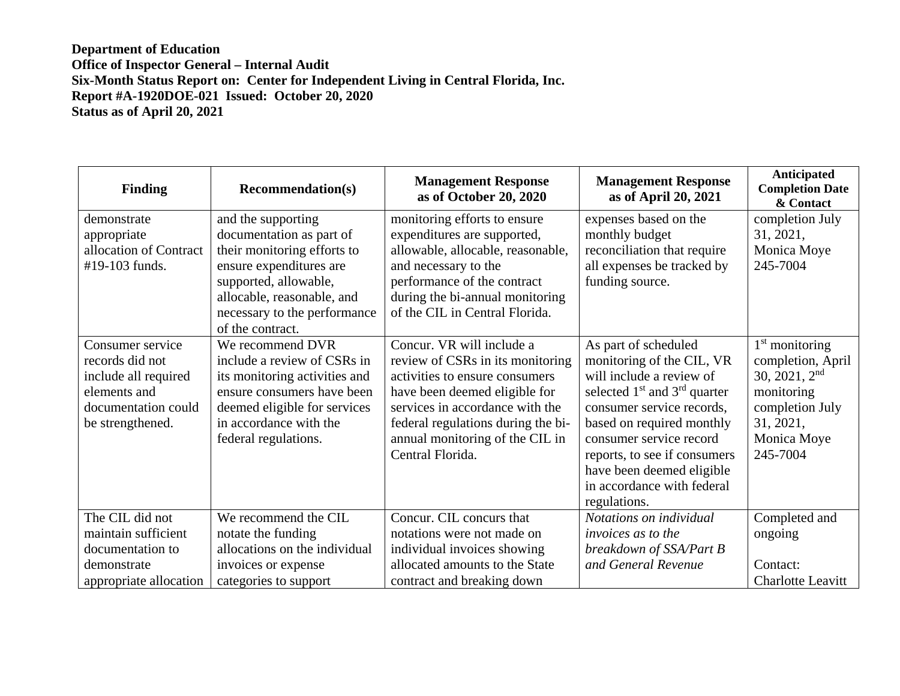| <b>Finding</b>                                                                                                         | <b>Recommendation(s)</b>                                                                                                                                                                                            | <b>Management Response</b><br>as of October 20, 2020                                                                                                                                                                                                             | <b>Management Response</b><br>as of April 20, 2021                                                                                                                                                                                                                                                                | <b>Anticipated</b><br><b>Completion Date</b><br>& Contact                                                                         |
|------------------------------------------------------------------------------------------------------------------------|---------------------------------------------------------------------------------------------------------------------------------------------------------------------------------------------------------------------|------------------------------------------------------------------------------------------------------------------------------------------------------------------------------------------------------------------------------------------------------------------|-------------------------------------------------------------------------------------------------------------------------------------------------------------------------------------------------------------------------------------------------------------------------------------------------------------------|-----------------------------------------------------------------------------------------------------------------------------------|
| demonstrate<br>appropriate<br>allocation of Contract<br>#19-103 funds.                                                 | and the supporting<br>documentation as part of<br>their monitoring efforts to<br>ensure expenditures are<br>supported, allowable,<br>allocable, reasonable, and<br>necessary to the performance<br>of the contract. | monitoring efforts to ensure<br>expenditures are supported,<br>allowable, allocable, reasonable,<br>and necessary to the<br>performance of the contract<br>during the bi-annual monitoring<br>of the CIL in Central Florida.                                     | expenses based on the<br>monthly budget<br>reconciliation that require<br>all expenses be tracked by<br>funding source.                                                                                                                                                                                           | completion July<br>31, 2021,<br>Monica Moye<br>245-7004                                                                           |
| Consumer service<br>records did not<br>include all required<br>elements and<br>documentation could<br>be strengthened. | We recommend DVR<br>include a review of CSRs in<br>its monitoring activities and<br>ensure consumers have been<br>deemed eligible for services<br>in accordance with the<br>federal regulations.                    | Concur. VR will include a<br>review of CSRs in its monitoring<br>activities to ensure consumers<br>have been deemed eligible for<br>services in accordance with the<br>federal regulations during the bi-<br>annual monitoring of the CIL in<br>Central Florida. | As part of scheduled<br>monitoring of the CIL, VR<br>will include a review of<br>selected $1st$ and $3rd$ quarter<br>consumer service records,<br>based on required monthly<br>consumer service record<br>reports, to see if consumers<br>have been deemed eligible<br>in accordance with federal<br>regulations. | $1st$ monitoring<br>completion, April<br>30, 2021, $2nd$<br>monitoring<br>completion July<br>31, 2021,<br>Monica Moye<br>245-7004 |
| The CIL did not<br>maintain sufficient<br>documentation to<br>demonstrate<br>appropriate allocation                    | We recommend the CIL<br>notate the funding<br>allocations on the individual<br>invoices or expense<br>categories to support                                                                                         | Concur. CIL concurs that<br>notations were not made on<br>individual invoices showing<br>allocated amounts to the State<br>contract and breaking down                                                                                                            | Notations on individual<br><i>invoices as to the</i><br>breakdown of SSA/Part B<br>and General Revenue                                                                                                                                                                                                            | Completed and<br>ongoing<br>Contact:<br><b>Charlotte Leavitt</b>                                                                  |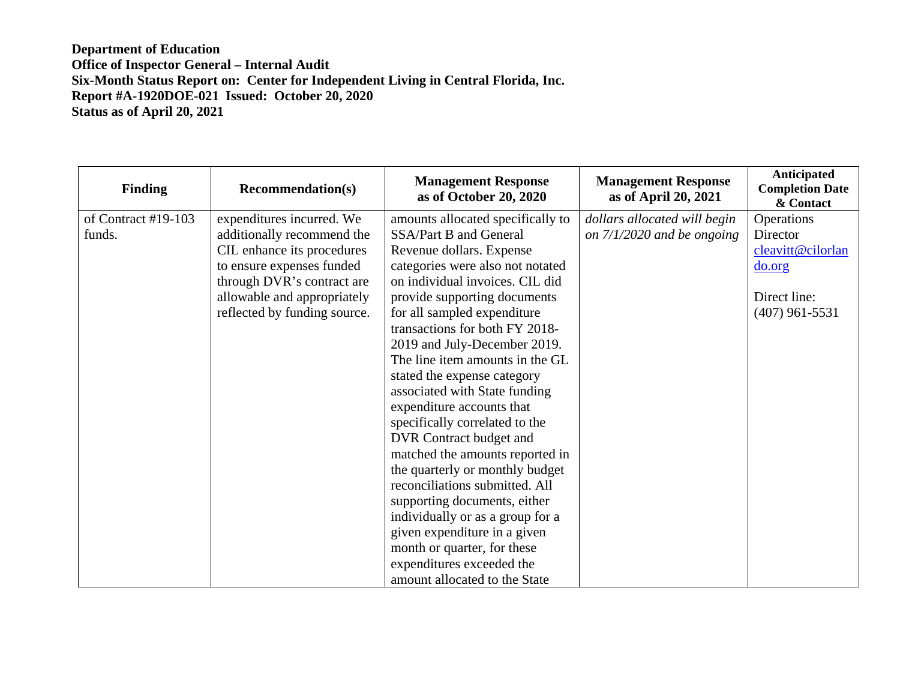| <b>Finding</b>      | <b>Recommendation(s)</b>     | <b>Management Response</b><br>as of October 20, 2020 | <b>Management Response</b><br>as of April 20, 2021 | Anticipated<br><b>Completion Date</b><br>& Contact |
|---------------------|------------------------------|------------------------------------------------------|----------------------------------------------------|----------------------------------------------------|
| of Contract #19-103 | expenditures incurred. We    | amounts allocated specifically to                    | dollars allocated will begin                       | Operations                                         |
| funds.              | additionally recommend the   | SSA/Part B and General                               | on $7/1/2020$ and be ongoing                       | Director                                           |
|                     | CIL enhance its procedures   | Revenue dollars. Expense                             |                                                    | cleavitt@cilorlan                                  |
|                     | to ensure expenses funded    | categories were also not notated                     |                                                    | do.org                                             |
|                     | through DVR's contract are   | on individual invoices. CIL did                      |                                                    |                                                    |
|                     | allowable and appropriately  | provide supporting documents                         |                                                    | Direct line:                                       |
|                     | reflected by funding source. | for all sampled expenditure                          |                                                    | $(407)$ 961-5531                                   |
|                     |                              | transactions for both FY 2018-                       |                                                    |                                                    |
|                     |                              | 2019 and July-December 2019.                         |                                                    |                                                    |
|                     |                              | The line item amounts in the GL                      |                                                    |                                                    |
|                     |                              | stated the expense category                          |                                                    |                                                    |
|                     |                              | associated with State funding                        |                                                    |                                                    |
|                     |                              | expenditure accounts that                            |                                                    |                                                    |
|                     |                              | specifically correlated to the                       |                                                    |                                                    |
|                     |                              | DVR Contract budget and                              |                                                    |                                                    |
|                     |                              | matched the amounts reported in                      |                                                    |                                                    |
|                     |                              | the quarterly or monthly budget                      |                                                    |                                                    |
|                     |                              | reconciliations submitted. All                       |                                                    |                                                    |
|                     |                              | supporting documents, either                         |                                                    |                                                    |
|                     |                              | individually or as a group for a                     |                                                    |                                                    |
|                     |                              | given expenditure in a given                         |                                                    |                                                    |
|                     |                              | month or quarter, for these                          |                                                    |                                                    |
|                     |                              | expenditures exceeded the                            |                                                    |                                                    |
|                     |                              | amount allocated to the State                        |                                                    |                                                    |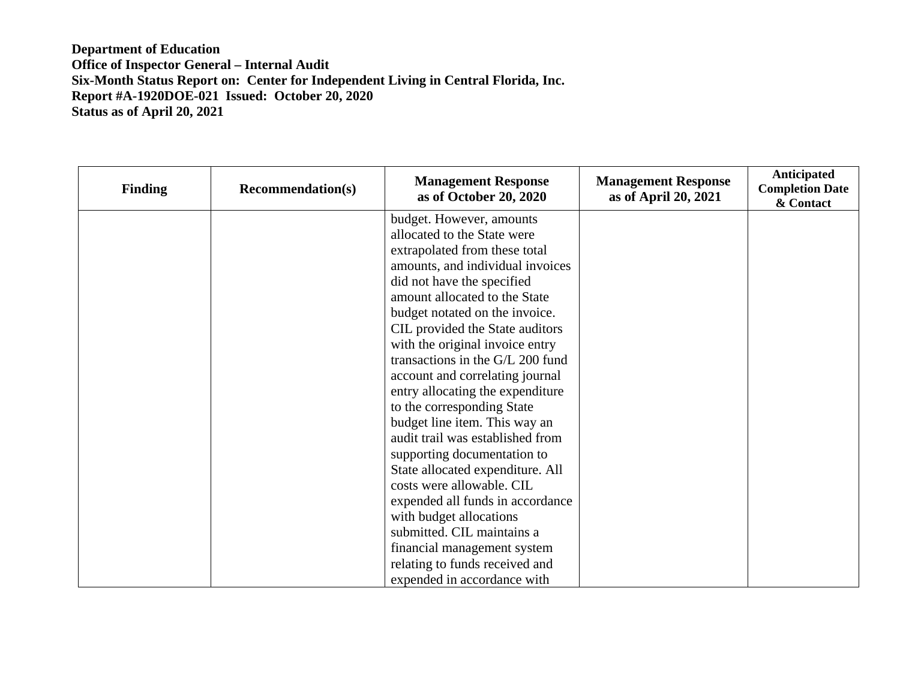| <b>Finding</b> | <b>Recommendation(s)</b> | <b>Management Response</b><br>as of October 20, 2020 | <b>Management Response</b><br>as of April 20, 2021 | Anticipated<br><b>Completion Date</b><br>& Contact |
|----------------|--------------------------|------------------------------------------------------|----------------------------------------------------|----------------------------------------------------|
|                |                          | budget. However, amounts                             |                                                    |                                                    |
|                |                          | allocated to the State were                          |                                                    |                                                    |
|                |                          | extrapolated from these total                        |                                                    |                                                    |
|                |                          | amounts, and individual invoices                     |                                                    |                                                    |
|                |                          | did not have the specified                           |                                                    |                                                    |
|                |                          | amount allocated to the State                        |                                                    |                                                    |
|                |                          | budget notated on the invoice.                       |                                                    |                                                    |
|                |                          | CIL provided the State auditors                      |                                                    |                                                    |
|                |                          | with the original invoice entry                      |                                                    |                                                    |
|                |                          | transactions in the G/L 200 fund                     |                                                    |                                                    |
|                |                          | account and correlating journal                      |                                                    |                                                    |
|                |                          | entry allocating the expenditure                     |                                                    |                                                    |
|                |                          | to the corresponding State                           |                                                    |                                                    |
|                |                          | budget line item. This way an                        |                                                    |                                                    |
|                |                          | audit trail was established from                     |                                                    |                                                    |
|                |                          | supporting documentation to                          |                                                    |                                                    |
|                |                          | State allocated expenditure. All                     |                                                    |                                                    |
|                |                          | costs were allowable. CIL                            |                                                    |                                                    |
|                |                          | expended all funds in accordance                     |                                                    |                                                    |
|                |                          | with budget allocations                              |                                                    |                                                    |
|                |                          | submitted. CIL maintains a                           |                                                    |                                                    |
|                |                          | financial management system                          |                                                    |                                                    |
|                |                          | relating to funds received and                       |                                                    |                                                    |
|                |                          | expended in accordance with                          |                                                    |                                                    |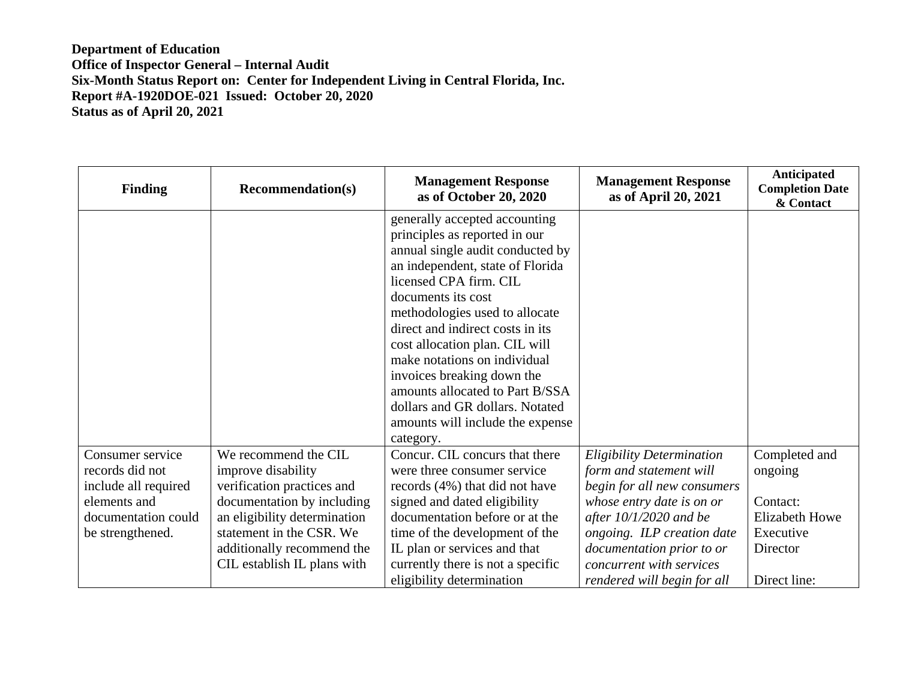| <b>Finding</b>       | <b>Recommendation(s)</b>     | <b>Management Response</b><br>as of October 20, 2020 | <b>Management Response</b><br>as of April 20, 2021 | Anticipated<br><b>Completion Date</b><br>& Contact |
|----------------------|------------------------------|------------------------------------------------------|----------------------------------------------------|----------------------------------------------------|
|                      |                              | generally accepted accounting                        |                                                    |                                                    |
|                      |                              | principles as reported in our                        |                                                    |                                                    |
|                      |                              | annual single audit conducted by                     |                                                    |                                                    |
|                      |                              | an independent, state of Florida                     |                                                    |                                                    |
|                      |                              | licensed CPA firm. CIL                               |                                                    |                                                    |
|                      |                              | documents its cost                                   |                                                    |                                                    |
|                      |                              | methodologies used to allocate                       |                                                    |                                                    |
|                      |                              | direct and indirect costs in its                     |                                                    |                                                    |
|                      |                              | cost allocation plan. CIL will                       |                                                    |                                                    |
|                      |                              | make notations on individual                         |                                                    |                                                    |
|                      |                              | invoices breaking down the                           |                                                    |                                                    |
|                      |                              | amounts allocated to Part B/SSA                      |                                                    |                                                    |
|                      |                              | dollars and GR dollars. Notated                      |                                                    |                                                    |
|                      |                              | amounts will include the expense                     |                                                    |                                                    |
|                      |                              | category.                                            |                                                    |                                                    |
| Consumer service     | We recommend the CIL         | Concur. CIL concurs that there                       | <b>Eligibility Determination</b>                   | Completed and                                      |
| records did not      | improve disability           | were three consumer service                          | form and statement will                            | ongoing                                            |
| include all required | verification practices and   | records (4%) that did not have                       | begin for all new consumers                        |                                                    |
| elements and         | documentation by including   | signed and dated eligibility                         | whose entry date is on or                          | Contact:                                           |
| documentation could  | an eligibility determination | documentation before or at the                       | after $10/1/2020$ and be                           | <b>Elizabeth Howe</b>                              |
| be strengthened.     | statement in the CSR. We     | time of the development of the                       | ongoing. ILP creation date                         | Executive                                          |
|                      | additionally recommend the   | IL plan or services and that                         | documentation prior to or                          | Director                                           |
|                      | CIL establish IL plans with  | currently there is not a specific                    | concurrent with services                           |                                                    |
|                      |                              | eligibility determination                            | rendered will begin for all                        | Direct line:                                       |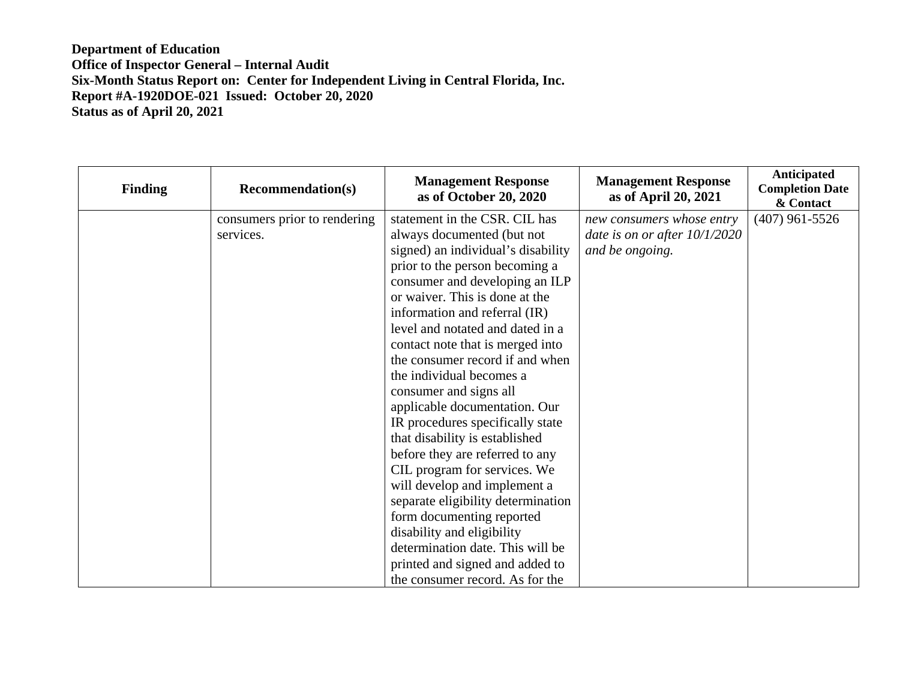| <b>Finding</b> | <b>Recommendation(s)</b>     | <b>Management Response</b><br>as of October 20, 2020 | <b>Management Response</b><br>as of April 20, 2021 | Anticipated<br><b>Completion Date</b><br>& Contact |
|----------------|------------------------------|------------------------------------------------------|----------------------------------------------------|----------------------------------------------------|
|                | consumers prior to rendering | statement in the CSR. CIL has                        | new consumers whose entry                          | $(407)$ 961-5526                                   |
|                | services.                    | always documented (but not                           | date is on or after $10/1/2020$                    |                                                    |
|                |                              | signed) an individual's disability                   | and be ongoing.                                    |                                                    |
|                |                              | prior to the person becoming a                       |                                                    |                                                    |
|                |                              | consumer and developing an ILP                       |                                                    |                                                    |
|                |                              | or waiver. This is done at the                       |                                                    |                                                    |
|                |                              | information and referral (IR)                        |                                                    |                                                    |
|                |                              | level and notated and dated in a                     |                                                    |                                                    |
|                |                              | contact note that is merged into                     |                                                    |                                                    |
|                |                              | the consumer record if and when                      |                                                    |                                                    |
|                |                              | the individual becomes a                             |                                                    |                                                    |
|                |                              | consumer and signs all                               |                                                    |                                                    |
|                |                              | applicable documentation. Our                        |                                                    |                                                    |
|                |                              | IR procedures specifically state                     |                                                    |                                                    |
|                |                              | that disability is established                       |                                                    |                                                    |
|                |                              | before they are referred to any                      |                                                    |                                                    |
|                |                              | CIL program for services. We                         |                                                    |                                                    |
|                |                              | will develop and implement a                         |                                                    |                                                    |
|                |                              | separate eligibility determination                   |                                                    |                                                    |
|                |                              | form documenting reported                            |                                                    |                                                    |
|                |                              | disability and eligibility                           |                                                    |                                                    |
|                |                              | determination date. This will be                     |                                                    |                                                    |
|                |                              | printed and signed and added to                      |                                                    |                                                    |
|                |                              | the consumer record. As for the                      |                                                    |                                                    |